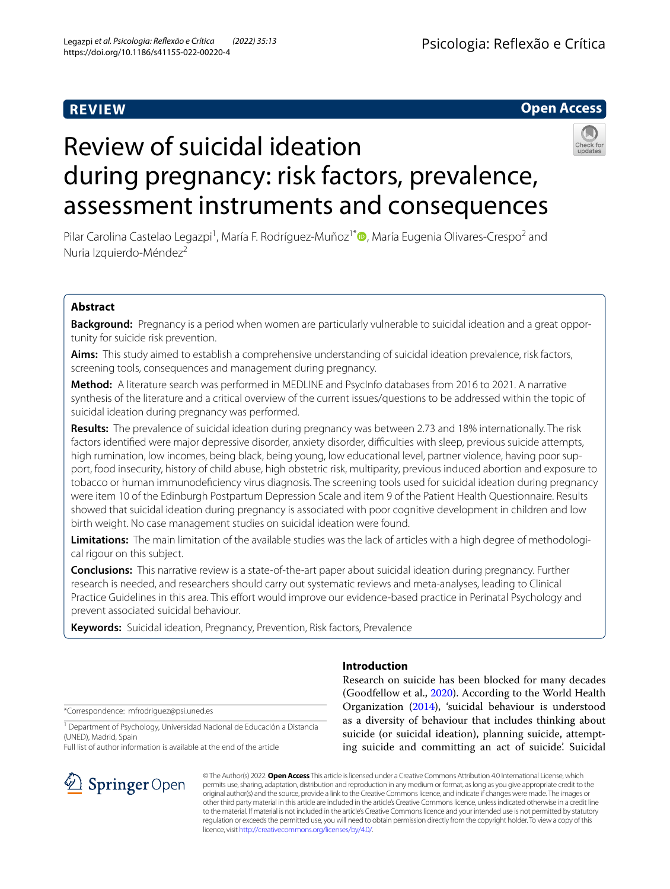# **REVIEW**



# Review of suicidal ideation during pregnancy: risk factors, prevalence, assessment instruments and consequences

Pilar Carolina Castelao Legazpi<sup>1</sup>[,](http://orcid.org/0000-0002-1908-0405) María F. Rodríguez-Muñoz<sup>1\*</sup> , María Eugenia Olivares-Crespo<sup>2</sup> and Nuria Izquierdo-Méndez<sup>2</sup>

# **Abstract**

**Background:** Pregnancy is a period when women are particularly vulnerable to suicidal ideation and a great opportunity for suicide risk prevention.

**Aims:** This study aimed to establish a comprehensive understanding of suicidal ideation prevalence, risk factors, screening tools, consequences and management during pregnancy.

**Method:** A literature search was performed in MEDLINE and PsycInfo databases from 2016 to 2021. A narrative synthesis of the literature and a critical overview of the current issues/questions to be addressed within the topic of suicidal ideation during pregnancy was performed.

**Results:** The prevalence of suicidal ideation during pregnancy was between 2.73 and 18% internationally. The risk factors identified were major depressive disorder, anxiety disorder, difficulties with sleep, previous suicide attempts, high rumination, low incomes, being black, being young, low educational level, partner violence, having poor support, food insecurity, history of child abuse, high obstetric risk, multiparity, previous induced abortion and exposure to tobacco or human immunodefciency virus diagnosis. The screening tools used for suicidal ideation during pregnancy were item 10 of the Edinburgh Postpartum Depression Scale and item 9 of the Patient Health Questionnaire. Results showed that suicidal ideation during pregnancy is associated with poor cognitive development in children and low birth weight. No case management studies on suicidal ideation were found.

Limitations: The main limitation of the available studies was the lack of articles with a high degree of methodological rigour on this subject.

**Conclusions:** This narrative review is a state-of-the-art paper about suicidal ideation during pregnancy. Further research is needed, and researchers should carry out systematic reviews and meta-analyses, leading to Clinical Practice Guidelines in this area. This effort would improve our evidence-based practice in Perinatal Psychology and prevent associated suicidal behaviour.

**Keywords:** Suicidal ideation, Pregnancy, Prevention, Risk factors, Prevalence

\*Correspondence: mfrodriguez@psi.uned.es

<sup>1</sup> Department of Psychology, Universidad Nacional de Educación a Distancia (UNED), Madrid, Spain

Full list of author information is available at the end of the article



# **Introduction**

Research on suicide has been blocked for many decades (Goodfellow et al., [2020](#page-8-0)). According to the World Health Organization ([2014\)](#page-9-0), 'suicidal behaviour is understood as a diversity of behaviour that includes thinking about suicide (or suicidal ideation), planning suicide, attempting suicide and committing an act of suicide'. Suicidal

© The Author(s) 2022. **Open Access** This article is licensed under a Creative Commons Attribution 4.0 International License, which permits use, sharing, adaptation, distribution and reproduction in any medium or format, as long as you give appropriate credit to the original author(s) and the source, provide a link to the Creative Commons licence, and indicate if changes were made. The images or other third party material in this article are included in the article's Creative Commons licence, unless indicated otherwise in a credit line to the material. If material is not included in the article's Creative Commons licence and your intended use is not permitted by statutory regulation or exceeds the permitted use, you will need to obtain permission directly from the copyright holder. To view a copy of this licence, visit [http://creativecommons.org/licenses/by/4.0/.](http://creativecommons.org/licenses/by/4.0/)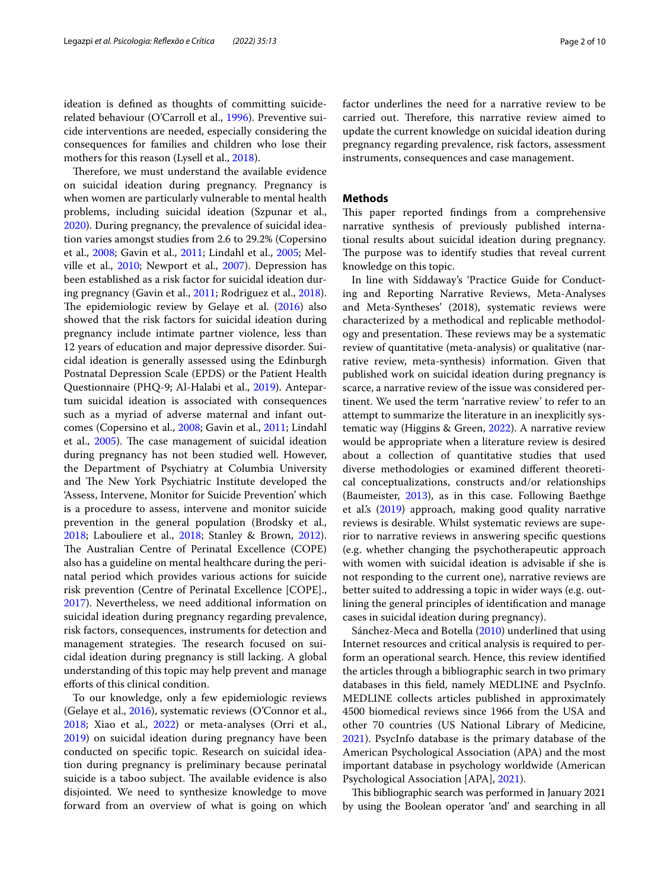ideation is defned as thoughts of committing suiciderelated behaviour (O'Carroll et al., [1996\)](#page-8-1). Preventive suicide interventions are needed, especially considering the consequences for families and children who lose their mothers for this reason (Lysell et al., [2018](#page-8-2)).

Therefore, we must understand the available evidence on suicidal ideation during pregnancy. Pregnancy is when women are particularly vulnerable to mental health problems, including suicidal ideation (Szpunar et al., [2020](#page-9-1)). During pregnancy, the prevalence of suicidal ideation varies amongst studies from 2.6 to 29.2% (Copersino et al., [2008;](#page-8-3) Gavin et al., [2011](#page-8-4); Lindahl et al., [2005;](#page-8-5) Mel-ville et al., [2010](#page-8-6); Newport et al., [2007](#page-8-7)). Depression has been established as a risk factor for suicidal ideation during pregnancy (Gavin et al., [2011;](#page-8-4) Rodriguez et al., [2018](#page-8-8)). The epidemiologic review by Gelaye et al.  $(2016)$  $(2016)$  also showed that the risk factors for suicidal ideation during pregnancy include intimate partner violence, less than 12 years of education and major depressive disorder. Suicidal ideation is generally assessed using the Edinburgh Postnatal Depression Scale (EPDS) or the Patient Health Questionnaire (PHQ-9; Al-Halabi et al., [2019\)](#page-8-10). Antepartum suicidal ideation is associated with consequences such as a myriad of adverse maternal and infant outcomes (Copersino et al., [2008](#page-8-3); Gavin et al., [2011](#page-8-4); Lindahl et al., [2005](#page-8-5)). The case management of suicidal ideation during pregnancy has not been studied well. However, the Department of Psychiatry at Columbia University and The New York Psychiatric Institute developed the 'Assess, Intervene, Monitor for Suicide Prevention' which is a procedure to assess, intervene and monitor suicide prevention in the general population (Brodsky et al., [2018](#page-8-11); Labouliere et al., [2018;](#page-8-12) Stanley & Brown, [2012](#page-9-2)). The Australian Centre of Perinatal Excellence (COPE) also has a guideline on mental healthcare during the perinatal period which provides various actions for suicide risk prevention (Centre of Perinatal Excellence [COPE]., [2017](#page-8-13)). Nevertheless, we need additional information on suicidal ideation during pregnancy regarding prevalence, risk factors, consequences, instruments for detection and management strategies. The research focused on suicidal ideation during pregnancy is still lacking. A global understanding of this topic may help prevent and manage eforts of this clinical condition.

To our knowledge, only a few epidemiologic reviews (Gelaye et al., [2016](#page-8-9)), systematic reviews (O'Connor et al., [2018](#page-8-14); Xiao et al., [2022](#page-9-3)) or meta-analyses (Orri et al., [2019](#page-8-15)) on suicidal ideation during pregnancy have been conducted on specifc topic. Research on suicidal ideation during pregnancy is preliminary because perinatal suicide is a taboo subject. The available evidence is also disjointed. We need to synthesize knowledge to move forward from an overview of what is going on which factor underlines the need for a narrative review to be carried out. Therefore, this narrative review aimed to update the current knowledge on suicidal ideation during pregnancy regarding prevalence, risk factors, assessment instruments, consequences and case management.

# **Methods**

This paper reported findings from a comprehensive narrative synthesis of previously published international results about suicidal ideation during pregnancy. The purpose was to identify studies that reveal current knowledge on this topic.

In line with Siddaway's 'Practice Guide for Conducting and Reporting Narrative Reviews, Meta-Analyses and Meta-Syntheses' (2018), systematic reviews were characterized by a methodical and replicable methodology and presentation. These reviews may be a systematic review of quantitative (meta-analysis) or qualitative (narrative review, meta-synthesis) information. Given that published work on suicidal ideation during pregnancy is scarce, a narrative review of the issue was considered pertinent. We used the term 'narrative review' to refer to an attempt to summarize the literature in an inexplicitly systematic way (Higgins & Green, [2022](#page-8-16)). A narrative review would be appropriate when a literature review is desired about a collection of quantitative studies that used diverse methodologies or examined diferent theoretical conceptualizations, constructs and/or relationships (Baumeister, [2013](#page-8-17)), as in this case. Following Baethge et al.'s ([2019](#page-8-18)) approach, making good quality narrative reviews is desirable. Whilst systematic reviews are superior to narrative reviews in answering specifc questions (e.g. whether changing the psychotherapeutic approach with women with suicidal ideation is advisable if she is not responding to the current one), narrative reviews are better suited to addressing a topic in wider ways (e.g. outlining the general principles of identifcation and manage cases in suicidal ideation during pregnancy).

Sánchez-Meca and Botella [\(2010\)](#page-9-4) underlined that using Internet resources and critical analysis is required to perform an operational search. Hence, this review identifed the articles through a bibliographic search in two primary databases in this feld, namely MEDLINE and PsycInfo. MEDLINE collects articles published in approximately 4500 biomedical reviews since 1966 from the USA and other 70 countries (US National Library of Medicine, [2021](#page-9-5)). PsycInfo database is the primary database of the American Psychological Association (APA) and the most important database in psychology worldwide (American Psychological Association [APA], [2021](#page-8-19)).

This bibliographic search was performed in January 2021 by using the Boolean operator 'and' and searching in all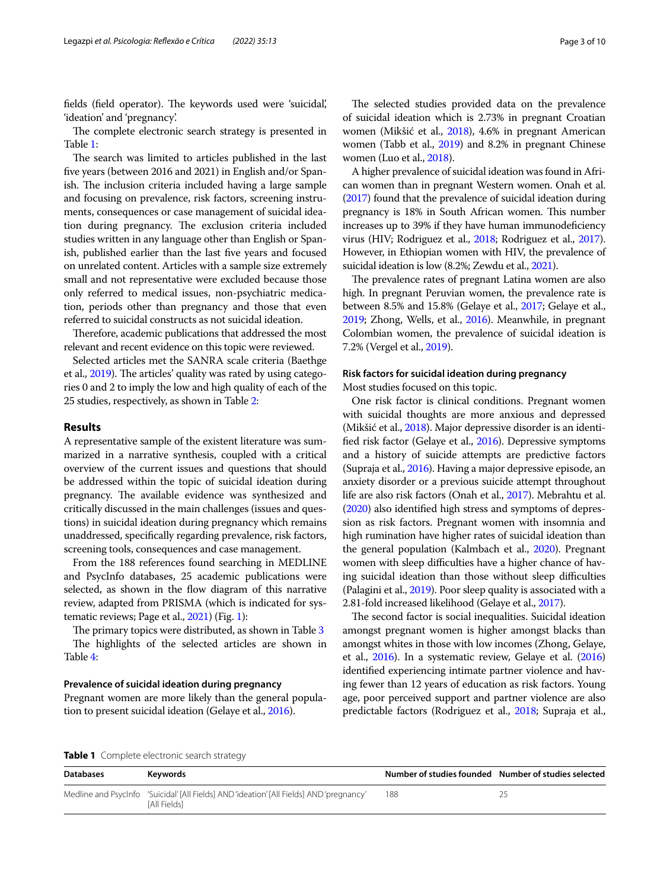fields (field operator). The keywords used were 'suicidal', 'ideation' and 'pregnancy'.

The complete electronic search strategy is presented in Table [1](#page-2-0):

The search was limited to articles published in the last fve years (between 2016 and 2021) in English and/or Spanish. The inclusion criteria included having a large sample and focusing on prevalence, risk factors, screening instruments, consequences or case management of suicidal ideation during pregnancy. The exclusion criteria included studies written in any language other than English or Spanish, published earlier than the last five years and focused on unrelated content. Articles with a sample size extremely small and not representative were excluded because those only referred to medical issues, non-psychiatric medication, periods other than pregnancy and those that even referred to suicidal constructs as not suicidal ideation.

Therefore, academic publications that addressed the most relevant and recent evidence on this topic were reviewed.

Selected articles met the SANRA scale criteria (Baethge et al., [2019\)](#page-8-18). The articles' quality was rated by using categories 0 and 2 to imply the low and high quality of each of the 25 studies, respectively, as shown in Table [2:](#page-3-0)

## **Results**

A representative sample of the existent literature was summarized in a narrative synthesis, coupled with a critical overview of the current issues and questions that should be addressed within the topic of suicidal ideation during pregnancy. The available evidence was synthesized and critically discussed in the main challenges (issues and questions) in suicidal ideation during pregnancy which remains unaddressed, specifcally regarding prevalence, risk factors, screening tools, consequences and case management.

From the 188 references found searching in MEDLINE and PsycInfo databases, 25 academic publications were selected, as shown in the fow diagram of this narrative review, adapted from PRISMA (which is indicated for systematic reviews; Page et al., [2021\)](#page-8-20) (Fig. [1](#page-4-0)):

The primary topics were distributed, as shown in Table [3](#page-4-1)

The highlights of the selected articles are shown in Table [4](#page-5-0):

### **Prevalence of suicidal ideation during pregnancy**

Pregnant women are more likely than the general population to present suicidal ideation (Gelaye et al., [2016](#page-8-9)).

The selected studies provided data on the prevalence of suicidal ideation which is 2.73% in pregnant Croatian women (Mikšić et al., [2018\)](#page-8-21), 4.6% in pregnant American women (Tabb et al., [2019\)](#page-9-6) and 8.2% in pregnant Chinese women (Luo et al., [2018](#page-8-22)).

A higher prevalence of suicidal ideation was found in African women than in pregnant Western women. Onah et al. ([2017\)](#page-8-23) found that the prevalence of suicidal ideation during pregnancy is 18% in South African women. This number increases up to 39% if they have human immunodefciency virus (HIV; Rodriguez et al., [2018](#page-8-8); Rodriguez et al., [2017](#page-8-24)). However, in Ethiopian women with HIV, the prevalence of suicidal ideation is low (8.2%; Zewdu et al., [2021](#page-9-7)).

The prevalence rates of pregnant Latina women are also high. In pregnant Peruvian women, the prevalence rate is between 8.5% and 15.8% (Gelaye et al., [2017](#page-8-25); Gelaye et al., [2019;](#page-8-26) Zhong, Wells, et al., [2016](#page-9-8)). Meanwhile, in pregnant Colombian women, the prevalence of suicidal ideation is 7.2% (Vergel et al., [2019\)](#page-9-9).

## **Risk factors for suicidal ideation during pregnancy** Most studies focused on this topic.

One risk factor is clinical conditions. Pregnant women with suicidal thoughts are more anxious and depressed (Mikšić et al., [2018](#page-8-21)). Major depressive disorder is an identifed risk factor (Gelaye et al., [2016\)](#page-8-9). Depressive symptoms and a history of suicide attempts are predictive factors (Supraja et al., [2016](#page-9-10)). Having a major depressive episode, an anxiety disorder or a previous suicide attempt throughout life are also risk factors (Onah et al., [2017\)](#page-8-23). Mebrahtu et al. ([2020\)](#page-8-27) also identifed high stress and symptoms of depression as risk factors. Pregnant women with insomnia and high rumination have higher rates of suicidal ideation than the general population (Kalmbach et al., [2020](#page-8-28)). Pregnant women with sleep difficulties have a higher chance of having suicidal ideation than those without sleep difficulties (Palagini et al., [2019](#page-8-29)). Poor sleep quality is associated with a 2.81-fold increased likelihood (Gelaye et al., [2017\)](#page-8-25).

The second factor is social inequalities. Suicidal ideation amongst pregnant women is higher amongst blacks than amongst whites in those with low incomes (Zhong, Gelaye, et al., [2016](#page-9-11)). In a systematic review, Gelaye et al. [\(2016](#page-8-9)) identifed experiencing intimate partner violence and having fewer than 12 years of education as risk factors. Young age, poor perceived support and partner violence are also predictable factors (Rodriguez et al., [2018;](#page-8-8) Supraja et al.,

<span id="page-2-0"></span>

| Table 1 Complete electronic search strategy |  |
|---------------------------------------------|--|
|---------------------------------------------|--|

| <b>Databases</b> | Kevwords                                                                                                                     | Number of studies founded Number of studies selected |  |
|------------------|------------------------------------------------------------------------------------------------------------------------------|------------------------------------------------------|--|
|                  | Medline and Psyclnfo 'Suicidal' [All Fields] AND 'ideation' [All Fields] AND 'pregnancy'<br><b><i><u>IAII Fields</u></i></b> | 188                                                  |  |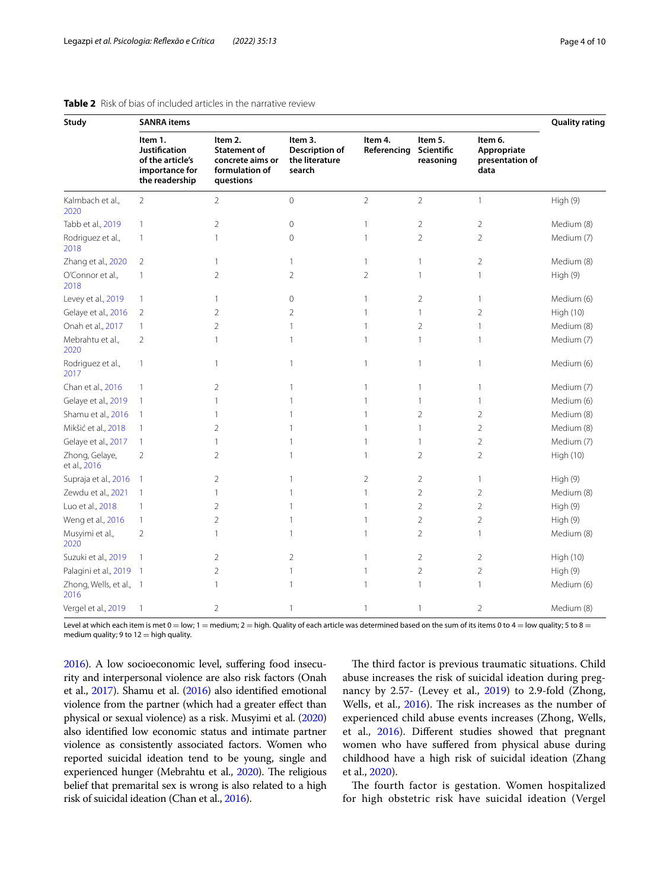| <b>Study</b>                    | <b>SANRA</b> items                                                                      |                                                                                   |                                                       |                        |                                    |                                                   | <b>Quality rating</b> |
|---------------------------------|-----------------------------------------------------------------------------------------|-----------------------------------------------------------------------------------|-------------------------------------------------------|------------------------|------------------------------------|---------------------------------------------------|-----------------------|
|                                 | Item 1.<br><b>Justification</b><br>of the article's<br>importance for<br>the readership | Item 2.<br><b>Statement of</b><br>concrete aims or<br>formulation of<br>questions | Item 3.<br>Description of<br>the literature<br>search | Item 4.<br>Referencing | Item 5.<br>Scientific<br>reasoning | Item 6.<br>Appropriate<br>presentation of<br>data |                       |
| Kalmbach et al.,<br>2020        | $\overline{2}$                                                                          | $\overline{2}$                                                                    | $\mathsf{O}\xspace$                                   | $\overline{2}$         | $\overline{2}$                     | $\mathbf{1}$                                      | High (9)              |
| Tabb et al., 2019               | $\mathbf{1}$                                                                            | $\overline{2}$                                                                    | 0                                                     | 1                      | $\overline{2}$                     | $\overline{2}$                                    | Medium (8)            |
| Rodriguez et al.,<br>2018       | $\mathbf{1}$                                                                            | 1                                                                                 | $\mathbf 0$                                           | 1                      | $\overline{2}$                     | $\overline{2}$                                    | Medium (7)            |
| Zhang et al., 2020              | $\overline{2}$                                                                          | 1                                                                                 | 1                                                     | 1                      | 1                                  | $\overline{2}$                                    | Medium (8)            |
| O'Connor et al.,<br>2018        | $\mathbf{1}$                                                                            | $\overline{2}$                                                                    | $\overline{2}$                                        | $\overline{2}$         | 1                                  | $\mathbb{1}$                                      | High (9)              |
| Levey et al., 2019              | $\mathbf{1}$                                                                            | 1                                                                                 | 0                                                     | 1                      | 2                                  | 1                                                 | Medium (6)            |
| Gelaye et al., 2016             | 2                                                                                       | 2                                                                                 | 2                                                     | 1                      | 1                                  | $\overline{2}$                                    | High (10)             |
| Onah et al., 2017               | $\mathbf{1}$                                                                            | $\overline{2}$                                                                    | 1                                                     | 1                      | $\overline{2}$                     | $\mathbf{1}$                                      | Medium (8)            |
| Mebrahtu et al.,<br>2020        | $\overline{2}$                                                                          | 1                                                                                 | 1                                                     | 1                      | $\mathbf{1}$                       | $\mathbf{1}$                                      | Medium (7)            |
| Rodriguez et al.,<br>2017       | $\mathbf{1}$                                                                            | $\mathbf{1}$                                                                      | 1                                                     | 1                      | $\mathbf{1}$                       | $\mathbf{1}$                                      | Medium (6)            |
| Chan et al., 2016               | $\mathbf{1}$                                                                            | 2                                                                                 | 1                                                     | 1                      | 1                                  | 1                                                 | Medium (7)            |
| Gelaye et al., 2019             | $\mathbf{1}$                                                                            | 1                                                                                 | 1                                                     |                        | 1                                  | 1                                                 | Medium (6)            |
| Shamu et al., 2016              | $\overline{1}$                                                                          | 1                                                                                 | 1                                                     |                        | 2                                  | $\overline{2}$                                    | Medium (8)            |
| Mikšić et al., 2018             | $\mathbf{1}$                                                                            | $\overline{2}$                                                                    | 1                                                     |                        | $\mathbf{1}$                       | $\overline{2}$                                    | Medium (8)            |
| Gelaye et al., 2017             | $\mathbf{1}$                                                                            | $\mathbf{1}$                                                                      | 1                                                     |                        | $\mathbf{1}$                       | $\overline{2}$                                    | Medium (7)            |
| Zhong, Gelaye,<br>et al., 2016  | $\overline{2}$                                                                          | 2                                                                                 | 1                                                     |                        | $\overline{2}$                     | $\overline{2}$                                    | High (10)             |
| Supraja et al., 2016            | 1                                                                                       | 2                                                                                 | 1                                                     | $\overline{2}$         | $\overline{2}$                     | 1                                                 | High (9)              |
| Zewdu et al., 2021              | $\mathbf{1}$                                                                            | 1                                                                                 | 1                                                     | 1                      | $\overline{2}$                     | $\overline{2}$                                    | Medium (8)            |
| Luo et al., 2018                | $\mathbf{1}$                                                                            | 2                                                                                 | 1                                                     |                        | 2                                  | $\overline{2}$                                    | High (9)              |
| Weng et al., 2016               | $\mathbf{1}$                                                                            | $\overline{2}$                                                                    | 1                                                     | 1                      | $\overline{2}$                     | $\overline{2}$                                    | High (9)              |
| Musyimi et al.,<br>2020         | $\overline{2}$                                                                          | 1                                                                                 | 1                                                     | 1                      | $\overline{2}$                     | $\mathbf{1}$                                      | Medium (8)            |
| Suzuki et al., 2019             |                                                                                         | 2                                                                                 | $\overline{2}$                                        |                        | $\overline{2}$                     | $\overline{2}$                                    | High (10)             |
| Palagini et al., 2019 1         |                                                                                         | 2                                                                                 | 1                                                     | 1                      | $\overline{2}$                     | $\overline{2}$                                    | High (9)              |
| Zhong, Wells, et al., 1<br>2016 |                                                                                         | 1                                                                                 | 1                                                     | $\mathbf{1}$           | 1                                  | $\mathbf{1}$                                      | Medium (6)            |
| Vergel et al., 2019             | 1                                                                                       | 2                                                                                 | 1                                                     | 1                      | $\mathbf{1}$                       | $\overline{2}$                                    | Medium (8)            |

## <span id="page-3-0"></span>**Table 2** Risk of bias of included articles in the narrative review

Level at which each item is met  $0 = low$ ;  $1 = medium$ ;  $2 = high$ . Quality of each article was determined based on the sum of its items 0 to 4 = low quality; 5 to 8 = medium quality; 9 to  $12 =$  high quality.

[2016\)](#page-9-10). A low socioeconomic level, sufering food insecurity and interpersonal violence are also risk factors (Onah et al., [2017\)](#page-8-23). Shamu et al. [\(2016\)](#page-9-12) also identifed emotional violence from the partner (which had a greater efect than physical or sexual violence) as a risk. Musyimi et al. [\(2020](#page-8-30)) also identifed low economic status and intimate partner violence as consistently associated factors. Women who reported suicidal ideation tend to be young, single and experienced hunger (Mebrahtu et al., [2020\)](#page-8-27). The religious belief that premarital sex is wrong is also related to a high risk of suicidal ideation (Chan et al., [2016\)](#page-8-31).

The third factor is previous traumatic situations. Child abuse increases the risk of suicidal ideation during pregnancy by 2.57- (Levey et al., [2019](#page-8-32)) to 2.9-fold (Zhong, Wells, et al., [2016](#page-9-8)). The risk increases as the number of experienced child abuse events increases (Zhong, Wells, et al., [2016](#page-9-8)). Diferent studies showed that pregnant women who have sufered from physical abuse during childhood have a high risk of suicidal ideation (Zhang et al., [2020](#page-9-13)).

The fourth factor is gestation. Women hospitalized for high obstetric risk have suicidal ideation (Vergel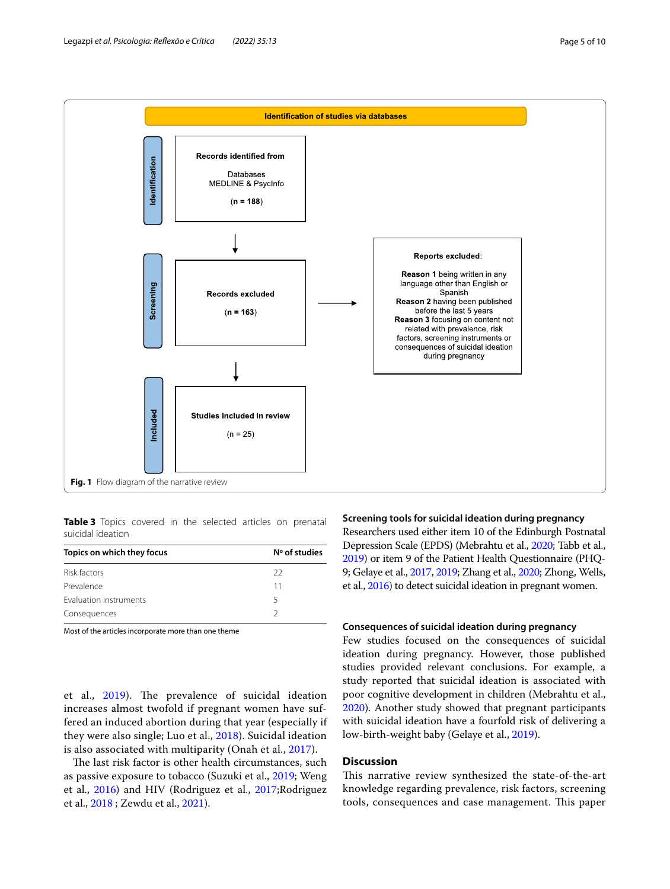

<span id="page-4-1"></span><span id="page-4-0"></span>**Table 3** Topics covered in the selected articles on prenatal suicidal ideation

| Topics on which they focus | $No$ of studies |  |
|----------------------------|-----------------|--|
| Risk factors               | 22              |  |
| Prevalence                 | 11              |  |
| Evaluation instruments     | 5               |  |
| Consequences               |                 |  |

Most of the articles incorporate more than one theme

et al., [2019\)](#page-9-9). The prevalence of suicidal ideation increases almost twofold if pregnant women have suffered an induced abortion during that year (especially if they were also single; Luo et al., [2018](#page-8-22)). Suicidal ideation is also associated with multiparity (Onah et al., [2017\)](#page-8-23).

The last risk factor is other health circumstances, such as passive exposure to tobacco (Suzuki et al., [2019;](#page-9-15) Weng et al., [2016](#page-9-14)) and HIV (Rodriguez et al., [2017](#page-8-24);Rodriguez et al., [2018](#page-8-8) ; Zewdu et al., [2021\)](#page-9-7).

#### **Screening tools for suicidal ideation during pregnancy**

Researchers used either item 10 of the Edinburgh Postnatal Depression Scale (EPDS) (Mebrahtu et al., [2020](#page-8-27); Tabb et al., [2019\)](#page-9-6) or item 9 of the Patient Health Questionnaire (PHQ-9; Gelaye et al., [2017,](#page-8-25) [2019;](#page-8-26) Zhang et al., [2020;](#page-9-13) Zhong, Wells, et al., [2016\)](#page-9-8) to detect suicidal ideation in pregnant women.

#### **Consequences of suicidal ideation during pregnancy**

Few studies focused on the consequences of suicidal ideation during pregnancy. However, those published studies provided relevant conclusions. For example, a study reported that suicidal ideation is associated with poor cognitive development in children (Mebrahtu et al., [2020](#page-8-27)). Another study showed that pregnant participants with suicidal ideation have a fourfold risk of delivering a low-birth-weight baby (Gelaye et al., [2019\)](#page-8-26).

## **Discussion**

This narrative review synthesized the state-of-the-art knowledge regarding prevalence, risk factors, screening tools, consequences and case management. This paper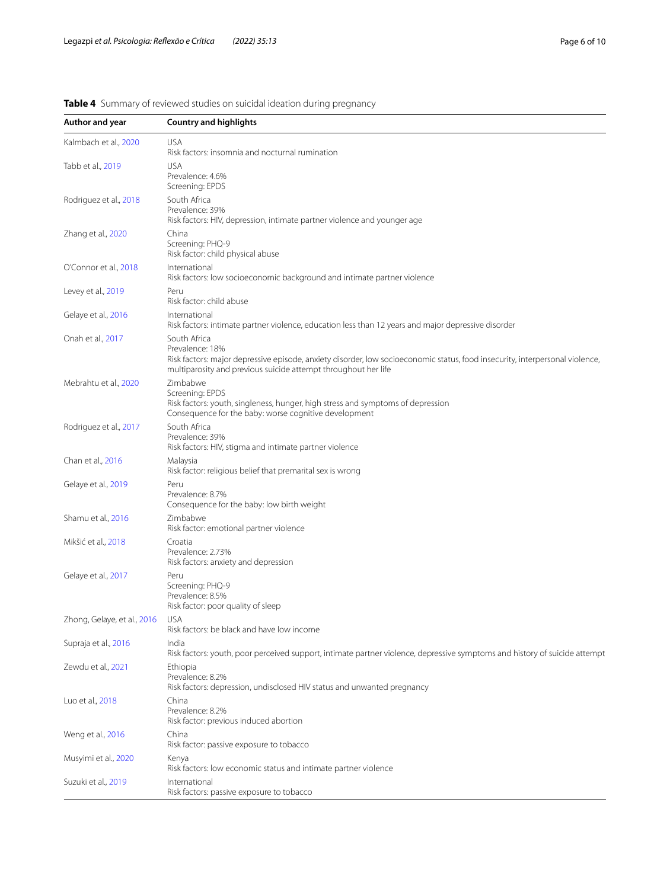| Author and year             | <b>Country and highlights</b>                                                                                                                                                                                                     |
|-----------------------------|-----------------------------------------------------------------------------------------------------------------------------------------------------------------------------------------------------------------------------------|
| Kalmbach et al., 2020       | <b>USA</b><br>Risk factors: insomnia and nocturnal rumination                                                                                                                                                                     |
| Tabb et al., 2019           | <b>USA</b><br>Prevalence: 4.6%<br>Screening: EPDS                                                                                                                                                                                 |
| Rodriguez et al., 2018      | South Africa<br>Prevalence: 39%<br>Risk factors: HIV, depression, intimate partner violence and younger age                                                                                                                       |
| Zhang et al., 2020          | China<br>Screening: PHQ-9<br>Risk factor: child physical abuse                                                                                                                                                                    |
| O'Connor et al., 2018       | International<br>Risk factors: low socioeconomic background and intimate partner violence                                                                                                                                         |
| Levey et al., 2019          | Peru<br>Risk factor: child abuse                                                                                                                                                                                                  |
| Gelaye et al., 2016         | International<br>Risk factors: intimate partner violence, education less than 12 years and major depressive disorder                                                                                                              |
| Onah et al., 2017           | South Africa<br>Prevalence: 18%<br>Risk factors: major depressive episode, anxiety disorder, low socioeconomic status, food insecurity, interpersonal violence,<br>multiparosity and previous suicide attempt throughout her life |
| Mebrahtu et al., 2020       | Zimbabwe<br>Screening: EPDS<br>Risk factors: youth, singleness, hunger, high stress and symptoms of depression<br>Consequence for the baby: worse cognitive development                                                           |
| Rodriguez et al., 2017      | South Africa<br>Prevalence: 39%<br>Risk factors: HIV, stigma and intimate partner violence                                                                                                                                        |
| Chan et al., 2016           | Malaysia<br>Risk factor: religious belief that premarital sex is wrong                                                                                                                                                            |
| Gelaye et al., 2019         | Peru<br>Prevalence: 8.7%<br>Consequence for the baby: low birth weight                                                                                                                                                            |
| Shamu et al., 2016          | Zimbabwe<br>Risk factor: emotional partner violence                                                                                                                                                                               |
| Mikšić et al., 2018         | Croatia<br>Prevalence: 2.73%<br>Risk factors: anxiety and depression                                                                                                                                                              |
| Gelaye et al., 2017         | Peru<br>Screening: PHQ-9<br>Prevalence: 8.5%<br>Risk factor: poor quality of sleep                                                                                                                                                |
| Zhong, Gelaye, et al., 2016 | <b>USA</b><br>Risk factors: be black and have low income                                                                                                                                                                          |
| Supraja et al., 2016        | India<br>Risk factors: youth, poor perceived support, intimate partner violence, depressive symptoms and history of suicide attempt                                                                                               |
| Zewdu et al., 2021          | Ethiopia<br>Prevalence: 8.2%<br>Risk factors: depression, undisclosed HIV status and unwanted pregnancy                                                                                                                           |
| Luo et al., 2018            | China<br>Prevalence: 8.2%<br>Risk factor: previous induced abortion                                                                                                                                                               |
| Weng et al., 2016           | China<br>Risk factor: passive exposure to tobacco                                                                                                                                                                                 |
| Musyimi et al., 2020        | Kenya<br>Risk factors: low economic status and intimate partner violence                                                                                                                                                          |
| Suzuki et al., 2019         | International<br>Risk factors: passive exposure to tobacco                                                                                                                                                                        |

# <span id="page-5-0"></span>**Table 4** Summary of reviewed studies on suicidal ideation during pregnancy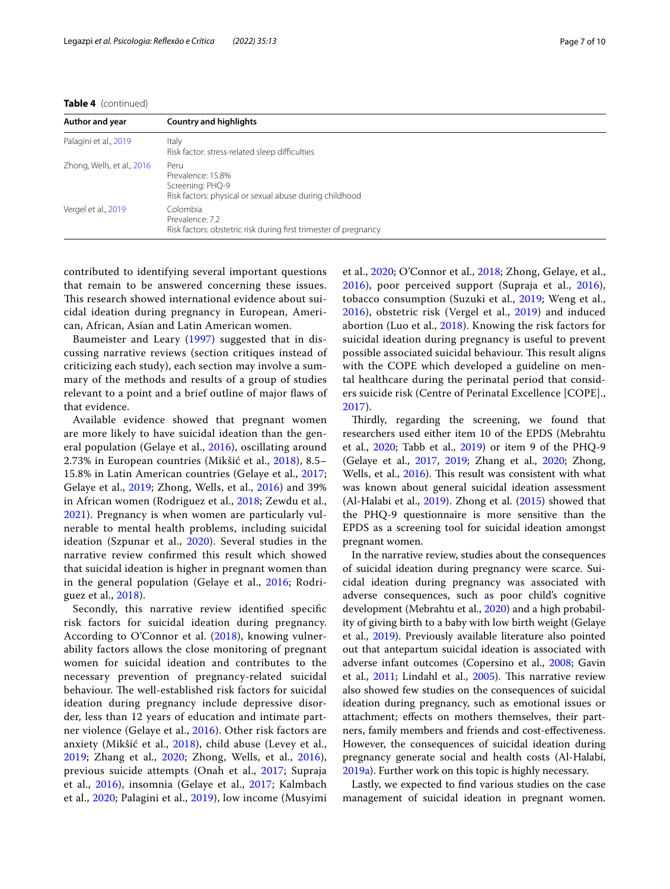**Table 4** (continued)

| Author and year            | <b>Country and highlights</b>                                                                            |
|----------------------------|----------------------------------------------------------------------------------------------------------|
| Palagini et al., 2019      | Italy<br>Risk factor: stress-related sleep difficulties                                                  |
| Zhong, Wells, et al., 2016 | Peru<br>Prevalence: 15.8%<br>Screening: PHQ-9<br>Risk factors: physical or sexual abuse during childhood |
| Vergel et al., 2019        | Colombia<br>Prevalence: 7.2<br>Risk factors: obstetric risk during first trimester of pregnancy          |

contributed to identifying several important questions that remain to be answered concerning these issues. This research showed international evidence about suicidal ideation during pregnancy in European, American, African, Asian and Latin American women.

Baumeister and Leary ([1997](#page-8-33)) suggested that in discussing narrative reviews (section critiques instead of criticizing each study), each section may involve a summary of the methods and results of a group of studies relevant to a point and a brief outline of major faws of that evidence.

Available evidence showed that pregnant women are more likely to have suicidal ideation than the general population (Gelaye et al., [2016\)](#page-8-9), oscillating around 2.73% in European countries (Mikšić et al., [2018](#page-8-21)), 8.5– 15.8% in Latin American countries (Gelaye et al., [2017](#page-8-25); Gelaye et al., [2019;](#page-8-26) Zhong, Wells, et al., [2016\)](#page-9-8) and 39% in African women (Rodriguez et al., [2018;](#page-8-8) Zewdu et al., [2021\)](#page-9-7). Pregnancy is when women are particularly vulnerable to mental health problems, including suicidal ideation (Szpunar et al., [2020](#page-9-1)). Several studies in the narrative review confrmed this result which showed that suicidal ideation is higher in pregnant women than in the general population (Gelaye et al., [2016;](#page-8-9) Rodriguez et al., [2018\)](#page-8-8).

Secondly, this narrative review identifed specifc risk factors for suicidal ideation during pregnancy. According to O'Connor et al. ([2018\)](#page-8-14), knowing vulnerability factors allows the close monitoring of pregnant women for suicidal ideation and contributes to the necessary prevention of pregnancy-related suicidal behaviour. The well-established risk factors for suicidal ideation during pregnancy include depressive disorder, less than 12 years of education and intimate partner violence (Gelaye et al., [2016](#page-8-9)). Other risk factors are anxiety (Mikšić et al., [2018\)](#page-8-21), child abuse (Levey et al., [2019;](#page-8-32) Zhang et al., [2020](#page-9-13); Zhong, Wells, et al., [2016\)](#page-9-8), previous suicide attempts (Onah et al., [2017](#page-8-23); Supraja et al., [2016\)](#page-9-10), insomnia (Gelaye et al., [2017;](#page-8-25) Kalmbach et al., [2020;](#page-8-28) Palagini et al., [2019\)](#page-8-29), low income (Musyimi et al., [2020](#page-8-30); O'Connor et al., [2018;](#page-8-14) Zhong, Gelaye, et al., [2016\)](#page-9-11), poor perceived support (Supraja et al., [2016](#page-9-10)), tobacco consumption (Suzuki et al., [2019;](#page-9-15) Weng et al., [2016\)](#page-9-14), obstetric risk (Vergel et al., [2019\)](#page-9-9) and induced abortion (Luo et al., [2018\)](#page-8-22). Knowing the risk factors for suicidal ideation during pregnancy is useful to prevent possible associated suicidal behaviour. This result aligns with the COPE which developed a guideline on mental healthcare during the perinatal period that considers suicide risk (Centre of Perinatal Excellence [COPE]., [2017\)](#page-8-13).

Thirdly, regarding the screening, we found that researchers used either item 10 of the EPDS (Mebrahtu et al., [2020;](#page-8-27) Tabb et al., [2019\)](#page-9-6) or item 9 of the PHQ-9 (Gelaye et al., [2017,](#page-8-25) [2019](#page-8-26); Zhang et al., [2020](#page-9-13); Zhong, Wells, et al., [2016](#page-9-8)). This result was consistent with what was known about general suicidal ideation assessment (Al-Halabi et al., [2019](#page-8-10)). Zhong et al. ([2015\)](#page-9-16) showed that the PHQ-9 questionnaire is more sensitive than the EPDS as a screening tool for suicidal ideation amongst pregnant women.

In the narrative review, studies about the consequences of suicidal ideation during pregnancy were scarce. Suicidal ideation during pregnancy was associated with adverse consequences, such as poor child's cognitive development (Mebrahtu et al., [2020](#page-8-27)) and a high probability of giving birth to a baby with low birth weight (Gelaye et al., [2019](#page-8-26)). Previously available literature also pointed out that antepartum suicidal ideation is associated with adverse infant outcomes (Copersino et al., [2008;](#page-8-3) Gavin et al., [2011;](#page-8-4) Lindahl et al., [2005\)](#page-8-5). This narrative review also showed few studies on the consequences of suicidal ideation during pregnancy, such as emotional issues or attachment; efects on mothers themselves, their partners, family members and friends and cost-efectiveness. However, the consequences of suicidal ideation during pregnancy generate social and health costs (Al-Halabí, [2019a\)](#page-7-0). Further work on this topic is highly necessary.

Lastly, we expected to fnd various studies on the case management of suicidal ideation in pregnant women.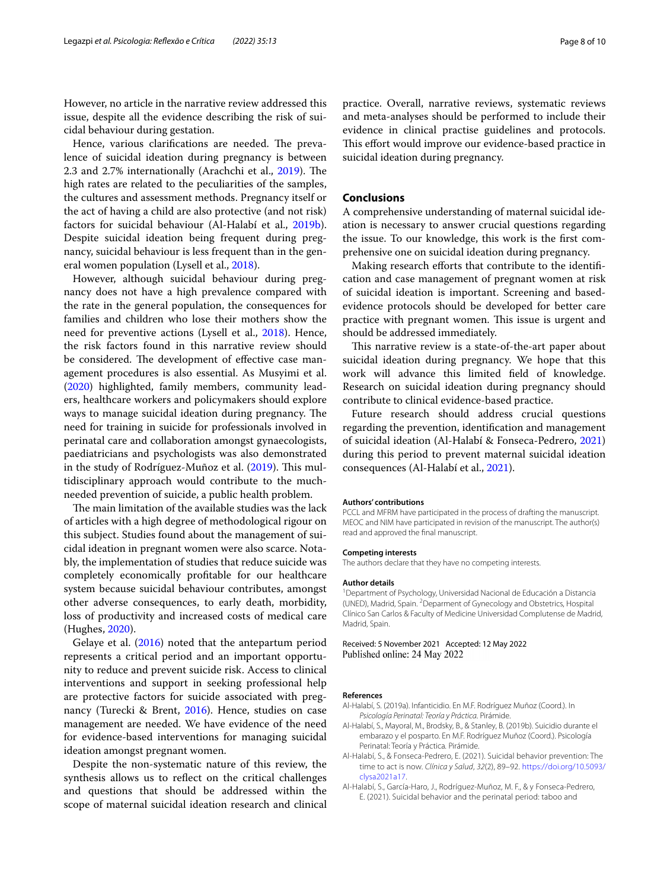However, no article in the narrative review addressed this issue, despite all the evidence describing the risk of suicidal behaviour during gestation.

Hence, various clarifications are needed. The prevalence of suicidal ideation during pregnancy is between 2.3 and 2.7% internationally (Arachchi et al., [2019](#page-8-34)). The high rates are related to the peculiarities of the samples, the cultures and assessment methods. Pregnancy itself or the act of having a child are also protective (and not risk) factors for suicidal behaviour (Al-Halabí et al., [2019b](#page-7-1)). Despite suicidal ideation being frequent during pregnancy, suicidal behaviour is less frequent than in the general women population (Lysell et al., [2018\)](#page-8-2).

However, although suicidal behaviour during pregnancy does not have a high prevalence compared with the rate in the general population, the consequences for families and children who lose their mothers show the need for preventive actions (Lysell et al., [2018\)](#page-8-2). Hence, the risk factors found in this narrative review should be considered. The development of effective case management procedures is also essential. As Musyimi et al. ([2020\)](#page-8-30) highlighted, family members, community leaders, healthcare workers and policymakers should explore ways to manage suicidal ideation during pregnancy. The need for training in suicide for professionals involved in perinatal care and collaboration amongst gynaecologists, paediatricians and psychologists was also demonstrated in the study of Rodríguez-Muñoz et al.  $(2019)$  $(2019)$  $(2019)$ . This multidisciplinary approach would contribute to the muchneeded prevention of suicide, a public health problem.

The main limitation of the available studies was the lack of articles with a high degree of methodological rigour on this subject. Studies found about the management of suicidal ideation in pregnant women were also scarce. Notably, the implementation of studies that reduce suicide was completely economically proftable for our healthcare system because suicidal behaviour contributes, amongst other adverse consequences, to early death, morbidity, loss of productivity and increased costs of medical care (Hughes, [2020](#page-8-36)).

Gelaye et al. ([2016\)](#page-8-9) noted that the antepartum period represents a critical period and an important opportunity to reduce and prevent suicide risk. Access to clinical interventions and support in seeking professional help are protective factors for suicide associated with pregnancy (Turecki & Brent, [2016\)](#page-9-17). Hence, studies on case management are needed. We have evidence of the need for evidence-based interventions for managing suicidal ideation amongst pregnant women.

Despite the non-systematic nature of this review, the synthesis allows us to refect on the critical challenges and questions that should be addressed within the scope of maternal suicidal ideation research and clinical practice. Overall, narrative reviews, systematic reviews and meta-analyses should be performed to include their evidence in clinical practise guidelines and protocols. This effort would improve our evidence-based practice in suicidal ideation during pregnancy.

# **Conclusions**

A comprehensive understanding of maternal suicidal ideation is necessary to answer crucial questions regarding the issue. To our knowledge, this work is the frst comprehensive one on suicidal ideation during pregnancy.

Making research efforts that contribute to the identification and case management of pregnant women at risk of suicidal ideation is important. Screening and basedevidence protocols should be developed for better care practice with pregnant women. This issue is urgent and should be addressed immediately.

This narrative review is a state-of-the-art paper about suicidal ideation during pregnancy. We hope that this work will advance this limited feld of knowledge. Research on suicidal ideation during pregnancy should contribute to clinical evidence-based practice.

Future research should address crucial questions regarding the prevention, identifcation and management of suicidal ideation (Al-Halabí & Fonseca-Pedrero, [2021](#page-7-2)) during this period to prevent maternal suicidal ideation consequences (Al-Halabí et al., [2021](#page-7-3)).

#### **Authors' contributions**

PCCL and MFRM have participated in the process of drafting the manuscript. MEOC and NIM have participated in revision of the manuscript. The author(s) read and approved the fnal manuscript.

#### **Competing interests**

The authors declare that they have no competing interests.

#### **Author details**

1 Department of Psychology, Universidad Nacional de Educación a Distancia (UNED), Madrid, Spain. <sup>2</sup> Deparment of Gynecology and Obstetrics, Hospital Clínico San Carlos & Faculty of Medicine Universidad Complutense de Madrid, Madrid, Spain.

Received: 5 November 2021 Accepted: 12 May 2022 Published online: 24 May 2022

#### **References**

- <span id="page-7-0"></span>Al-Halabí, S. (2019a). Infanticidio. En M.F. Rodríguez Muñoz (Coord.). In *Psicología Perinatal: Teoría y Práctica*. Pirámide.
- <span id="page-7-1"></span>Al-Halabí, S., Mayoral, M., Brodsky, B., & Stanley, B. (2019b). Suicidio durante el embarazo y el posparto. En M.F. Rodríguez Muñoz (Coord.). Psicología Perinatal: Teoría y Práctica*.* Pirámide.
- <span id="page-7-2"></span>Al-Halabí, S., & Fonseca-Pedrero, E. (2021). Suicidal behavior prevention: The time to act is now. *Clínica y Salud*, *32*(2), 89–92. [https://doi.org/10.5093/](https://doi.org/10.5093/clysa2021a17) [clysa2021a17.](https://doi.org/10.5093/clysa2021a17)
- <span id="page-7-3"></span>Al-Halabí, S., García-Haro, J., Rodríguez-Muñoz, M. F., & y Fonseca-Pedrero, E. (2021). Suicidal behavior and the perinatal period: taboo and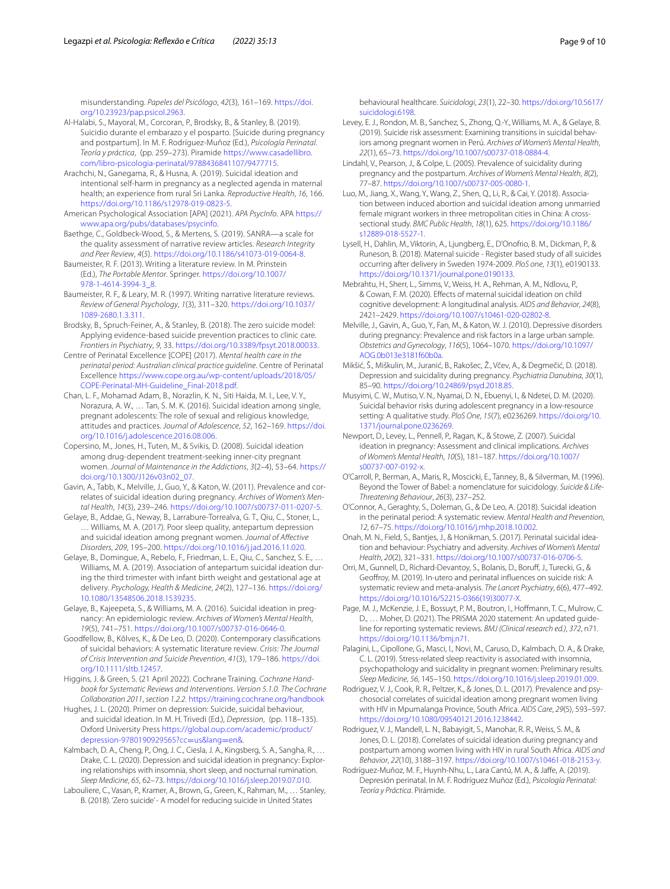misunderstanding. *Papeles del Psicólogo*, *42*(3), 161–169. [https://doi.](https://doi.org/10.23923/pap.psicol.2963) [org/10.23923/pap.psicol.2963](https://doi.org/10.23923/pap.psicol.2963).

- <span id="page-8-10"></span>Al-Halabi, S., Mayoral, M., Corcoran, P., Brodsky, B., & Stanley, B. (2019). Suicidio durante el embarazo y el posparto. [Suicide during pregnancy and postpartum]. In M. F. Rodríguez-Muñoz (Ed.), *Psicología Perinatal. Teoría y práctica*, (pp. 259–273). Piramide [https://www.casadellibro.](https://www.casadellibro.com/libro-psicologia-perinatal/9788436841107/9477715) [com/libro-psicologia-perinatal/9788436841107/9477715](https://www.casadellibro.com/libro-psicologia-perinatal/9788436841107/9477715).
- <span id="page-8-34"></span>Arachchi, N., Ganegama, R., & Husna, A. (2019). Suicidal ideation and intentional self-harm in pregnancy as a neglected agenda in maternal health; an experience from rural Sri Lanka. *Reproductive Health*, *16*, 166. [https://doi.org/10.1186/s12978-019-0823-5.](https://doi.org/10.1186/s12978-019-0823-5)
- <span id="page-8-19"></span>American Psychological Association [APA] (2021). *APA PsycInfo*. APA [https://](https://www.apa.org/pubs/databases/psycinfo) [www.apa.org/pubs/databases/psycinfo](https://www.apa.org/pubs/databases/psycinfo).
- <span id="page-8-18"></span>Baethge, C., Goldbeck-Wood, S., & Mertens, S. (2019). SANRA—a scale for the quality assessment of narrative review articles. *Research Integrity and Peer Review*, *4*(*5*). <https://doi.org/10.1186/s41073-019-0064-8>.
- <span id="page-8-17"></span>Baumeister, R. F. (2013). Writing a literature review. In M. Prinstein (Ed.), *The Portable Mentor*. Springer. [https://doi.org/10.1007/](https://doi.org/10.1007/978-1-4614-3994-3_8) [978-1-4614-3994-3\\_8.](https://doi.org/10.1007/978-1-4614-3994-3_8)
- <span id="page-8-33"></span>Baumeister, R. F., & Leary, M. R. (1997). Writing narrative literature reviews. *Review of General Psychology*, *1*(3), 311–320. [https://doi.org/10.1037/](https://doi.org/10.1037/1089-2680.1.3.311) [1089-2680.1.3.311](https://doi.org/10.1037/1089-2680.1.3.311).
- <span id="page-8-11"></span>Brodsky, B., Spruch-Feiner, A., & Stanley, B. (2018). The zero suicide model: Applying evidence-based suicide prevention practices to clinic care. *Frontiers in Psychiatry*, *9*, 33.<https://doi.org/10.3389/fpsyt.2018.00033>.
- <span id="page-8-13"></span>Centre of Perinatal Excellence [COPE] (2017). *Mental health care in the perinatal period: Australian clinical practice guideline*. Centre of Perinatal Excellence [https://www.cope.org.au/wp-content/uploads/2018/05/](https://www.cope.org.au/wp-content/uploads/2018/05/COPE-Perinatal-MH-Guideline_Final-2018.pdf) [COPE-Perinatal-MH-Guideline\\_Final-2018.pdf](https://www.cope.org.au/wp-content/uploads/2018/05/COPE-Perinatal-MH-Guideline_Final-2018.pdf).
- <span id="page-8-31"></span>Chan, L. F., Mohamad Adam, B., Norazlin, K. N., Siti Haida, M. I., Lee, V. Y., Norazura, A. W., … Tan, S. M. K. (2016). Suicidal ideation among single, pregnant adolescents: The role of sexual and religious knowledge, attitudes and practices. *Journal of Adolescence*, *52*, 162–169. [https://doi.](https://doi.org/10.1016/j.adolescence.2016.08.006) [org/10.1016/j.adolescence.2016.08.006](https://doi.org/10.1016/j.adolescence.2016.08.006).
- <span id="page-8-3"></span>Copersino, M., Jones, H., Tuten, M., & Svikis, D. (2008). Suicidal ideation among drug-dependent treatment-seeking inner-city pregnant women. *Journal of Maintenance in the Addictions*, *3*(2–4), 53–64. [https://](https://doi.org/10.1300/J126v03n02_07) [doi.org/10.1300/J126v03n02\\_07](https://doi.org/10.1300/J126v03n02_07).
- <span id="page-8-4"></span>Gavin, A., Tabb, K., Melville, J., Guo, Y., & Katon, W. (2011). Prevalence and correlates of suicidal ideation during pregnancy. *Archives of Women's Mental Health*, *14*(3), 239–246. [https://doi.org/10.1007/s00737-011-0207-5.](https://doi.org/10.1007/s00737-011-0207-5)
- <span id="page-8-25"></span>Gelaye, B., Addae, G., Neway, B., Larrabure-Torrealva, G. T., Qiu, C., Stoner, L., … Williams, M. A. (2017). Poor sleep quality, antepartum depression and suicidal ideation among pregnant women. *Journal of Afective Disorders*, *209*, 195–200. [https://doi.org/10.1016/j.jad.2016.11.020.](https://doi.org/10.1016/j.jad.2016.11.020)
- <span id="page-8-26"></span>Gelaye, B., Domingue, A., Rebelo, F., Friedman, L. E., Qiu, C., Sanchez, S. E., … Williams, M. A. (2019). Association of antepartum suicidal ideation during the third trimester with infant birth weight and gestational age at delivery. *Psychology, Health & Medicine*, *24*(2), 127–136. [https://doi.org/](https://doi.org/10.1080/13548506.2018.1539235) [10.1080/13548506.2018.1539235.](https://doi.org/10.1080/13548506.2018.1539235)
- <span id="page-8-9"></span>Gelaye, B., Kajeepeta, S., & Williams, M. A. (2016). Suicidal ideation in pregnancy: An epidemiologic review. *Archives of Women's Mental Health*, *19*(5), 741–751. [https://doi.org/10.1007/s00737-016-0646-0.](https://doi.org/10.1007/s00737-016-0646-0)
- <span id="page-8-0"></span>Goodfellow, B., Kõlves, K., & De Leo, D. (2020). Contemporary classifcations of suicidal behaviors: A systematic literature review. *Crisis: The Journal of Crisis Intervention and Suicide Prevention*, *41*(3), 179–186. [https://doi.](https://doi.org/10.1111/sltb.12457) [org/10.1111/sltb.12457](https://doi.org/10.1111/sltb.12457).
- <span id="page-8-16"></span>Higgins, J. & Green, S. (21 April 2022). Cochrane Training. *Cochrane Handbook for Systematic Reviews and Interventions*. *Version 5.1.0. The Cochrane Collaboration 2011*, *section 1.2.2.* <https://training.cochrane.org/handbook>
- <span id="page-8-36"></span>Hughes, J. L. (2020). Primer on depression: Suicide, suicidal behaviour, and suicidal ideation. In M. H. Trivedi (Ed.), *Depression*, (pp. 118–135). Oxford University Press [https://global.oup.com/academic/product/](https://global.oup.com/academic/product/depression-9780190929565?cc=us&lang=en&) [depression-9780190929565?cc](https://global.oup.com/academic/product/depression-9780190929565?cc=us&lang=en&)=us&lang=en&.
- <span id="page-8-28"></span>Kalmbach, D. A., Cheng, P., Ong, J. C., Ciesla, J. A., Kingsberg, S. A., Sangha, R., … Drake, C. L. (2020). Depression and suicidal ideation in pregnancy: Exploring relationships with insomnia, short sleep, and nocturnal rumination. *Sleep Medicine*, *65*, 62–73.<https://doi.org/10.1016/j.sleep.2019.07.010>.
- <span id="page-8-12"></span>Labouliere, C., Vasan, P., Kramer, A., Brown, G., Green, K., Rahman, M., … Stanley, B. (2018). 'Zero suicide' - A model for reducing suicide in United States

behavioural healthcare. *Suicidologi*, *23*(1), 22–30. [https://doi.org/10.5617/](https://doi.org/10.5617/suicidologi.6198) [suicidologi.6198](https://doi.org/10.5617/suicidologi.6198).

- <span id="page-8-32"></span>Levey, E. J., Rondon, M. B., Sanchez, S., Zhong, Q.-Y., Williams, M. A., & Gelaye, B. (2019). Suicide risk assessment: Examining transitions in suicidal behav‑ iors among pregnant women in Perú. *Archives of Women's Mental Health*, *22*(1), 65–73. [https://doi.org/10.1007/s00737-018-0884-4.](https://doi.org/10.1007/s00737-018-0884-4)
- <span id="page-8-5"></span>Lindahl, V., Pearson, J., & Colpe, L. (2005). Prevalence of suicidality during pregnancy and the postpartum. *Archives of Women's Mental Health*, *8*(2), 77–87.<https://doi.org/10.1007/s00737-005-0080-1>.
- <span id="page-8-22"></span>Luo, M., Jiang, X., Wang, Y., Wang, Z., Shen, Q., Li, R., & Cai, Y. (2018). Association between induced abortion and suicidal ideation among unmarried female migrant workers in three metropolitan cities in China: A crosssectional study. *BMC Public Health*, *18*(1), 625. [https://doi.org/10.1186/](https://doi.org/10.1186/s12889-018-5527-1) [s12889-018-5527-1.](https://doi.org/10.1186/s12889-018-5527-1)
- <span id="page-8-2"></span>Lysell, H., Dahlin, M., Viktorin, A., Ljungberg, E., D'Onofrio, B. M., Dickman, P., & Runeson, B. (2018). Maternal suicide - Register based study of all suicides occurring after delivery in Sweden 1974-2009. *PloS one*, *13*(1), e0190133. <https://doi.org/10.1371/journal.pone.0190133>.
- <span id="page-8-27"></span>Mebrahtu, H., Sherr, L., Simms, V., Weiss, H. A., Rehman, A. M., Ndlovu, P., & Cowan, F. M. (2020). Efects of maternal suicidal ideation on child cognitive development: A longitudinal analysis. *AIDS and Behavior*, *24*(8), 2421–2429. <https://doi.org/10.1007/s10461-020-02802-8>.
- <span id="page-8-6"></span>Melville, J., Gavin, A., Guo, Y., Fan, M., & Katon, W. J. (2010). Depressive disorders during pregnancy: Prevalence and risk factors in a large urban sample. *Obstetrics and Gynecology*, *116*(5), 1064–1070. [https://doi.org/10.1097/](https://doi.org/10.1097/AOG.0b013e3181f60b0a) [AOG.0b013e3181f60b0a.](https://doi.org/10.1097/AOG.0b013e3181f60b0a)
- <span id="page-8-21"></span>Mikšić, Š., Miškulin, M., Juranić, B., Rakošec, Ž., Včev, A., & Degmečić, D. (2018). Depression and suicidality during pregnancy. *Psychiatria Danubina*, *30*(1), 85–90.<https://doi.org/10.24869/psyd.2018.85>.
- <span id="page-8-30"></span>Musyimi, C. W., Mutiso, V. N., Nyamai, D. N., Ebuenyi, I., & Ndetei, D. M. (2020). Suicidal behavior risks during adolescent pregnancy in a low-resource setting: A qualitative study. *PloS One*, *15*(7), e0236269. [https://doi.org/10.](https://doi.org/10.1371/journal.pone.0236269) [1371/journal.pone.0236269.](https://doi.org/10.1371/journal.pone.0236269)
- <span id="page-8-7"></span>Newport, D., Levey, L., Pennell, P., Ragan, K., & Stowe, Z. (2007). Suicidal ideation in pregnancy: Assessment and clinical implications. *Archives of Women's Mental Health*, *10*(5), 181–187. [https://doi.org/10.1007/](https://doi.org/10.1007/s00737-007-0192-x) [s00737-007-0192-x](https://doi.org/10.1007/s00737-007-0192-x).
- <span id="page-8-1"></span>O'Carroll, P., Berman, A., Maris, R., Moscicki, E., Tanney, B., & Silverman, M. (1996). Beyond the Tower of Babel: a nomenclature for suicidology. *Suicide & Life-Threatening Behaviour*, *26*(3), 237–252.
- <span id="page-8-14"></span>O'Connor, A., Geraghty, S., Doleman, G., & De Leo, A. (2018). Suicidal ideation in the perinatal period: A systematic review. *Mental Health and Prevention*, *12*, 67–75. [https://doi.org/10.1016/j.mhp.2018.10.002.](https://doi.org/10.1016/j.mhp.2018.10.002)
- <span id="page-8-23"></span>Onah, M. N., Field, S., Bantjes, J., & Honikman, S. (2017). Perinatal suicidal ideation and behaviour: Psychiatry and adversity. *Archives of Women's Mental Health*, *20*(2), 321–331. [https://doi.org/10.1007/s00737-016-0706-5.](https://doi.org/10.1007/s00737-016-0706-5)
- <span id="page-8-15"></span>Orri, M., Gunnell, D., Richard-Devantoy, S., Bolanis, D., Boruf, J., Turecki, G., & Geofroy, M. (2019). In-utero and perinatal infuences on suicide risk: A systematic review and meta-analysis. *The Lancet Psychiatry*, *6*(6), 477–492. [https://doi.org/10.1016/S2215-0366\(19\)30077-X](https://doi.org/10.1016/S2215-0366(19)30077-X).
- <span id="page-8-20"></span>Page, M. J., McKenzie, J. E., Bossuyt, P. M., Boutron, I., Hoffmann, T. C., Mulrow, C. D., ... Moher, D. (2021). The PRISMA 2020 statement: An updated guideline for reporting systematic reviews. *BMJ (Clinical research ed.)*, *372*, n71. <https://doi.org/10.1136/bmj.n71>.
- <span id="page-8-29"></span>Palagini, L., Cipollone, G., Masci, I., Novi, M., Caruso, D., Kalmbach, D. A., & Drake, C. L. (2019). Stress-related sleep reactivity is associated with insomnia, psychopathology and suicidality in pregnant women: Preliminary results. *Sleep Medicine*, *56*, 145–150. [https://doi.org/10.1016/j.sleep.2019.01.009.](https://doi.org/10.1016/j.sleep.2019.01.009)
- <span id="page-8-24"></span>Rodriguez, V. J., Cook, R. R., Peltzer, K., & Jones, D. L. (2017). Prevalence and psychosocial correlates of suicidal ideation among pregnant women living with HIV in Mpumalanga Province, South Africa. *AIDS Care*, *29*(5), 593–597. [https://doi.org/10.1080/09540121.2016.1238442.](https://doi.org/10.1080/09540121.2016.1238442)
- <span id="page-8-8"></span>Rodriguez, V. J., Mandell, L. N., Babayigit, S., Manohar, R. R., Weiss, S. M., & Jones, D. L. (2018). Correlates of suicidal ideation during pregnancy and postpartum among women living with HIV in rural South Africa. *AIDS and Behavior*, *22*(10), 3188–3197. <https://doi.org/10.1007/s10461-018-2153-y>.
- <span id="page-8-35"></span>Rodríguez-Muñoz, M. F., Huynh-Nhu, L., Lara Cantú, M. A., & Jaffe, A. (2019). Depresión perinatal. In M. F. Rodríguez Muñoz (Ed.), *Psicología Perinatal: Teoría y Práctica*. Pirámide.